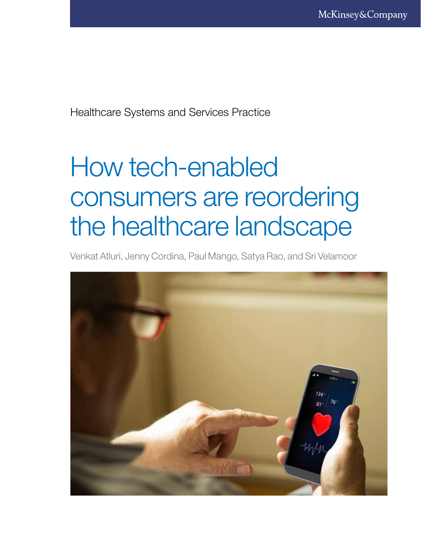Healthcare Systems and Services Practice

# How tech-enabled consumers are reordering the healthcare landscape

Venkat Atluri, Jenny Cordina, Paul Mango, Satya Rao, and Sri Velamoor

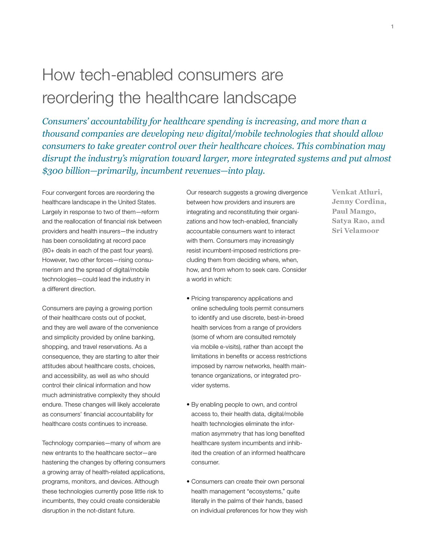# How tech-enabled consumers are reordering the healthcare landscape

*Consumers' accountability for healthcare spending is increasing, and more than a thousand companies are developing new digital/mobile technologies that should allow consumers to take greater control over their healthcare choices. This combination may disrupt the industry's migration toward larger, more integrated systems and put almost \$300 billion—primarily, incumbent revenues—into play.*

Four convergent forces are reordering the healthcare landscape in the United States. Largely in response to two of them—reform and the reallocation of financial risk between providers and health insurers—the industry has been consolidating at record pace (80+ deals in each of the past four years). However, two other forces—rising consumerism and the spread of digital/mobile technologies—could lead the industry in a different direction.

Consumers are paying a growing portion of their healthcare costs out of pocket, and they are well aware of the convenience and simplicity provided by online banking, shopping, and travel reservations. As a consequence, they are starting to alter their attitudes about healthcare costs, choices, and accessibility, as well as who should control their clinical information and how much administrative complexity they should endure. These changes will likely accelerate as consumers' financial accountability for healthcare costs continues to increase.

Technology companies—many of whom are new entrants to the healthcare sector—are hastening the changes by offering consumers a growing array of health-related applications, programs, monitors, and devices. Although these technologies currently pose little risk to incumbents, they could create considerable disruption in the not-distant future.

Our research suggests a growing divergence between how providers and insurers are integrating and reconstituting their organizations and how tech-enabled, financially accountable consumers want to interact with them. Consumers may increasingly resist incumbent-imposed restrictions precluding them from deciding where, when, how, and from whom to seek care. Consider a world in which:

- Pricing transparency applications and online scheduling tools permit consumers to identify and use discrete, best-in-breed health services from a range of providers (some of whom are consulted remotely via mobile e-visits), rather than accept the limitations in benefits or access restrictions imposed by narrow networks, health maintenance organizations, or integrated provider systems.
- By enabling people to own, and control access to, their health data, digital/mobile health technologies eliminate the information asymmetry that has long benefited healthcare system incumbents and inhibited the creation of an informed healthcare consumer.
- Consumers can create their own personal health management "ecosystems," quite literally in the palms of their hands, based on individual preferences for how they wish

**Venkat Atluri, Jenny Cordina, Paul Mango, Satya Rao, and Sri Velamoor**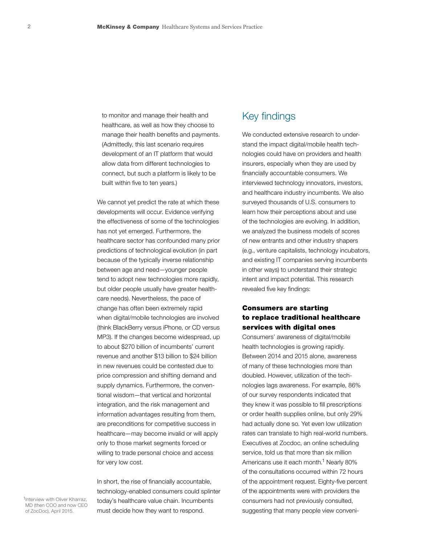to monitor and manage their health and healthcare, as well as how they choose to manage their health benefits and payments. (Admittedly, this last scenario requires development of an IT platform that would allow data from different technologies to connect, but such a platform is likely to be built within five to ten years.)

We cannot yet predict the rate at which these developments will occur. Evidence verifying the effectiveness of some of the technologies has not yet emerged. Furthermore, the healthcare sector has confounded many prior predictions of technological evolution (in part because of the typically inverse relationship between age and need—younger people tend to adopt new technologies more rapidly, but older people usually have greater healthcare needs). Nevertheless, the pace of change has often been extremely rapid when digital/mobile technologies are involved (think BlackBerry versus iPhone, or CD versus MP3). If the changes become widespread, up to about \$270 billion of incumbents' current revenue and another \$13 billion to \$24 billion in new revenues could be contested due to price compression and shifting demand and supply dynamics. Furthermore, the conventional wisdom—that vertical and horizontal integration, and the risk management and information advantages resulting from them, are preconditions for competitive success in healthcare—may become invalid or will apply only to those market segments forced or willing to trade personal choice and access for very low cost.

In short, the rise of financially accountable, technology-enabled consumers could splinter today's healthcare value chain. Incumbents must decide how they want to respond.

### Key findings

We conducted extensive research to understand the impact digital/mobile health technologies could have on providers and health insurers, especially when they are used by financially accountable consumers. We interviewed technology innovators, investors, and healthcare industry incumbents. We also surveyed thousands of U.S. consumers to learn how their perceptions about and use of the technologies are evolving. In addition, we analyzed the business models of scores of new entrants and other industry shapers (e.g., venture capitalists, technology incubators, and existing IT companies serving incumbents in other ways) to understand their strategic intent and impact potential. This research revealed five key findings:

#### Consumers are starting to replace traditional healthcare services with digital ones

Consumers' awareness of digital/mobile health technologies is growing rapidly. Between 2014 and 2015 alone, awareness of many of these technologies more than doubled. However, utilization of the technologies lags awareness. For example, 86% of our survey respondents indicated that they knew it was possible to fill prescriptions or order health supplies online, but only 29% had actually done so. Yet even low utilization rates can translate to high real-world numbers. Executives at Zocdoc, an online scheduling service, told us that more than six million Americans use it each month.<sup>1</sup> Nearly 80% of the consultations occurred within 72 hours of the appointment request. Eighty-five percent of the appointments were with providers the consumers had not previously consulted, suggesting that many people view conveni-

1Interview with Oliver Kharraz, MD (then COO and now CEO of ZocDoc), April 2015.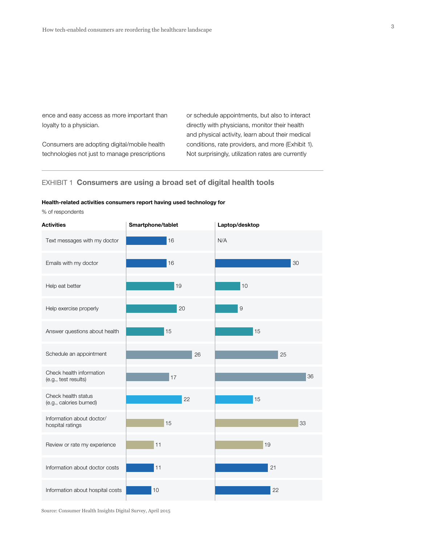ence and easy access as more important than loyalty to a physician.

Consumers are adopting digital/mobile health technologies not just to manage prescriptions

or schedule appointments, but also to interact directly with physicians, monitor their health and physical activity, learn about their medical conditions, rate providers, and more (Exhibit 1). Not surprisingly, utilization rates are currently

#### EXHIBIT 1 Consumers are using a broad set of digital health tools

#### Health-related activities consumers report having used technology for

% of respondents

Source: Consumer Health Insights Digital Survey, April 2015

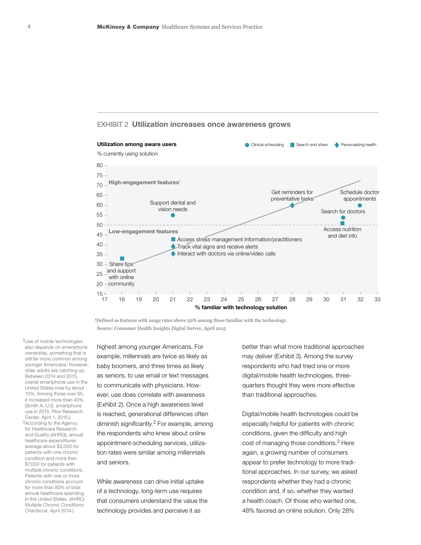

#### EXHIBIT 2 Utilization increases once awareness grows

1Defined as features with usage rates above 50% among those familiar with the technology. Source: Consumer Health Insights Digital Survey, April 2015

2Use of mobile technologies also depends on smartphone ownership, something that is still far more common among younger Americans. However, older adults are catching up. Between 2014 and 2015, overall smartphone use in the United States rose by about 10%. Among those over 65, it increased more than 40%. (Smith A. U.S. smartphone use in 2015. Pew Research Center. April 1, 2015.) 3According to the Agency for Healthcare Research and Quality (AHRQ), annual healthcare expenditures average about \$3,000 for patients with one chronic condition and more than \$7,000 for patients with multiple chronic conditions. Patients with one or more chronic conditions account for more than 80% of total annual healthcare spending in the United States. (AHRQ.

*Multiple Chronic Conditions Chartbook*. April 2014.)

highest among younger Americans. For example, millennials are twice as likely as baby boomers, and three times as likely as seniors, to use email or text messages to communicate with physicians. However, use does correlate with awareness (Exhibit 2). Once a high awareness level is reached, generational differences often diminish significantly.<sup>2</sup> For example, among the respondents who knew about online appointment-scheduling services, utilization rates were similar among millennials and seniors.

While awareness can drive initial uptake of a technology, long-term use requires that consumers understand the value the technology provides and perceive it as

better than what more traditional approaches may deliver (Exhibit 3). Among the survey respondents who had tried one or more digital/mobile health technologies, threequarters thought they were more effective than traditional approaches.

Digital/mobile health technologies could be especially helpful for patients with chronic conditions, given the difficulty and high cost of managing those conditions.<sup>3</sup> Here again, a growing number of consumers appear to prefer technology to more traditional approaches. In our survey, we asked respondents whether they had a chronic condition and, if so, whether they wanted a health coach. Of those who wanted one, 48% favored an online solution. Only 28%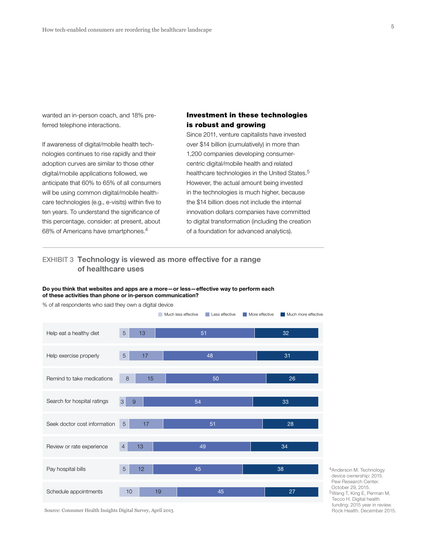wanted an in-person coach, and 18% preferred telephone interactions.

If awareness of digital/mobile health technologies continues to rise rapidly and their adoption curves are similar to those other digital/mobile applications followed, we anticipate that 60% to 65% of all consumers will be using common digital/mobile healthcare technologies (e.g., e-visits) within five to ten years. To understand the significance of this percentage, consider: at present, about 68% of Americans have smartphones.<sup>4</sup>

% of all respondents who said they own a digital device

#### Investment in these technologies is robust and growing

Since 2011, venture capitalists have invested over \$14 billion (cumulatively) in more than 1,200 companies developing consumercentric digital/mobile health and related healthcare technologies in the United States.<sup>5</sup> However, the actual amount being invested in the technologies is much higher, because the \$14 billion does not include the internal innovation dollars companies have committed to digital transformation (including the creation of a foundation for advanced analytics).

#### EXHIBIT 3 Technology is viewed as more effective for a range of healthcare uses

#### Do you think that websites and apps are a more—or less—effective way to perform each of these activities than phone or in-person communication?

Help eat a healthy diet Help exercise properly Remind to take medications Search for hospital ratings Seek doctor cost information Review or rate experience Pay hospital bills Schedule appointments Much less effective Less effective More effective Much more effective 5 13 32 5 17 48 8 15 50 26  $3$  9  $3$  33 5 17 51 28 4 13 24 34 35 36 37 38 38 5 12 45 38 10 19 19 45 27 31

4Anderson M. Technology device ownership: 2015. Pew Research Center. October 29, 2015. 5Wang T, King E, Perman M, Tecco H. Digital health funding: 2015 year in review. Rock Health. December 2015.

Source: Consumer Health Insights Digital Survey, April 2015

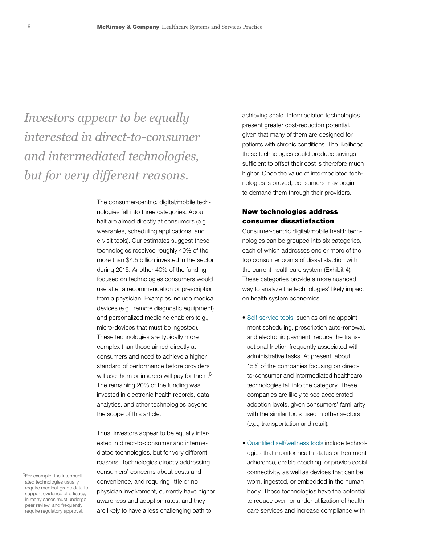*Investors appear to be equally interested in direct-to-consumer and intermediated technologies, but for very different reasons.*

> The consumer-centric, digital/mobile technologies fall into three categories. About half are aimed directly at consumers (e.g., wearables, scheduling applications, and e-visit tools). Our estimates suggest these technologies received roughly 40% of the more than \$4.5 billion invested in the sector during 2015. Another 40% of the funding focused on technologies consumers would use after a recommendation or prescription from a physician. Examples include medical devices (e.g., remote diagnostic equipment) and personalized medicine enablers (e.g., micro-devices that must be ingested). These technologies are typically more complex than those aimed directly at consumers and need to achieve a higher standard of performance before providers will use them or insurers will pay for them.<sup>6</sup> The remaining 20% of the funding was invested in electronic health records, data analytics, and other technologies beyond the scope of this article.

> Thus, investors appear to be equally interested in direct-to-consumer and intermediated technologies, but for very different reasons. Technologies directly addressing consumers' concerns about costs and convenience, and requiring little or no physician involvement, currently have higher awareness and adoption rates, and they are likely to have a less challenging path to

achieving scale. Intermediated technologies present greater cost-reduction potential, given that many of them are designed for patients with chronic conditions. The likelihood these technologies could produce savings sufficient to offset their cost is therefore much higher. Once the value of intermediated technologies is proved, consumers may begin to demand them through their providers.

#### New technologies address consumer dissatisfaction

Consumer-centric digital/mobile health technologies can be grouped into six categories, each of which addresses one or more of the top consumer points of dissatisfaction with the current healthcare system (Exhibit 4). These categories provide a more nuanced way to analyze the technologies' likely impact on health system economics.

- Self-service tools, such as online appointment scheduling, prescription auto-renewal, and electronic payment, reduce the transactional friction frequently associated with administrative tasks. At present, about 15% of the companies focusing on directto-consumer and intermediated healthcare technologies fall into the category. These companies are likely to see accelerated adoption levels, given consumers' familiarity with the similar tools used in other sectors (e.g., transportation and retail).
- Quantified self/wellness tools include technol ogies that monitor health status or treatment adherence, enable coaching, or provide social connectivity, as well as devices that can be worn, ingested, or embedded in the human body. These technologies have the potential to reduce over- or under-utilization of healthcare services and increase compliance with

6For example, the intermediated technologies usually require medical-grade data to support evidence of efficacy, in many cases must undergo peer review, and frequently require regulatory approval.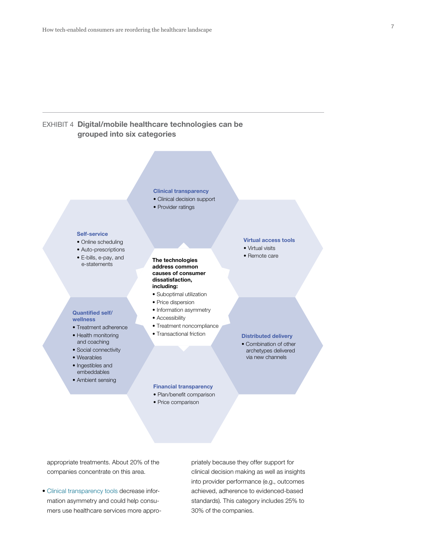#### EXHIBIT 4 Digital/mobile healthcare technologies can be grouped into six categories

#### Clinical transparency

- Clinical decision support
- Provider ratings

#### Self-service

Quantified self/ wellness

• Treatment adherence • Health monitoring and coaching • Social connectivity • Wearables • Ingestibles and embeddables • Ambient sensing

- Online scheduling
- Auto-prescriptions
- E-bills, e-pay, and e-statements

#### The technologies address common causes of consumer dissatisfaction, including:

- Suboptimal utilization
- Price dispersion
- Information asymmetry
- Accessibility
- Treatment noncompliance
- Transactional friction

Financial transparency • Plan/benefit comparison • Price comparison

#### Virtual access tools

- Virtual visits
- Remote care

#### Distributed delivery

• Combination of other archetypes delivered via new channels

appropriate treatments. About 20% of the companies concentrate on this area.

• Clinical transparency tools decrease information asymmetry and could help consumers use healthcare services more appropriately because they offer support for clinical decision making as well as insights into provider performance (e.g., outcomes achieved, adherence to evidenced-based standards). This category includes 25% to 30% of the companies.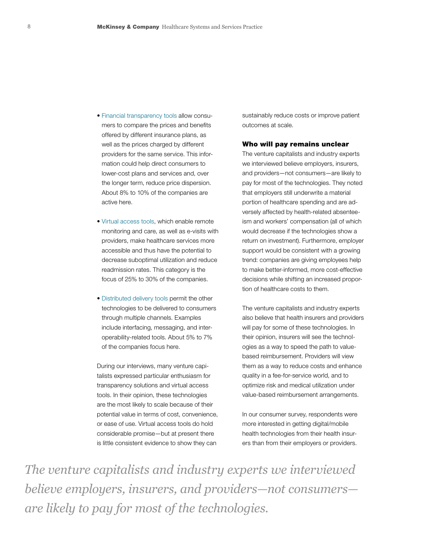- Financial transparency tools allow consumers to compare the prices and benefits offered by different insurance plans, as well as the prices charged by different providers for the same service. This information could help direct consumers to lower-cost plans and services and, over the longer term, reduce price dispersion. About 8% to 10% of the companies are active here.
- Virtual access tools, which enable remote monitoring and care, as well as e-visits with providers, make healthcare services more accessible and thus have the potential to decrease suboptimal utilization and reduce readmission rates. This category is the focus of 25% to 30% of the companies.
- Distributed delivery tools permit the other technologies to be delivered to consumers through multiple channels. Examples include interfacing, messaging, and interoperability-related tools. About 5% to 7% of the companies focus here.

During our interviews, many venture capitalists expressed particular enthusiasm for transparency solutions and virtual access tools. In their opinion, these technologies are the most likely to scale because of their potential value in terms of cost, convenience, or ease of use. Virtual access tools do hold considerable promise—but at present there is little consistent evidence to show they can

sustainably reduce costs or improve patient outcomes at scale.

#### Who will pay remains unclear

The venture capitalists and industry experts we interviewed believe employers, insurers, and providers—not consumers—are likely to pay for most of the technologies. They noted that employers still underwrite a material portion of healthcare spending and are adversely affected by health-related absenteeism and workers' compensation (all of which would decrease if the technologies show a return on investment). Furthermore, employer support would be consistent with a growing trend: companies are giving employees help to make better-informed, more cost-effective decisions while shifting an increased proportion of healthcare costs to them.

The venture capitalists and industry experts also believe that health insurers and providers will pay for some of these technologies. In their opinion, insurers will see the technologies as a way to speed the path to valuebased reimbursement. Providers will view them as a way to reduce costs and enhance quality in a fee-for-service world, and to optimize risk and medical utilization under value-based reimbursement arrangements.

In our consumer survey, respondents were more interested in getting digital/mobile health technologies from their health insurers than from their employers or providers.

*The venture capitalists and industry experts we interviewed believe employers, insurers, and providers—not consumers are likely to pay for most of the technologies.*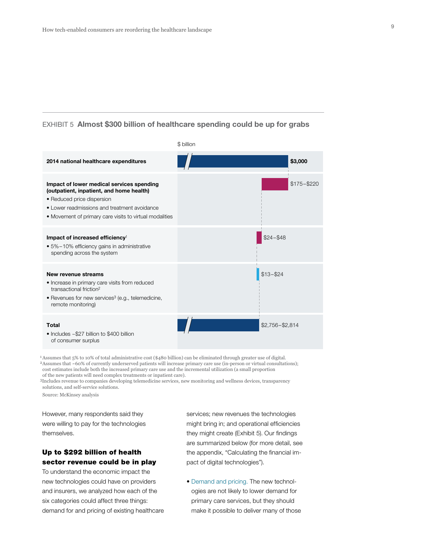#### EXHIBIT 5 Almost \$300 billion of healthcare spending could be up for grabs



1 Assumes that 5% to 10% of total administrative cost (\$480 billion) can be eliminated through greater use of digital. 2 Assumes that ~60% of currently underserved patients will increase primary care use (in-person or virtual consultations); cost estimates include both the increased primary care use and the incremental utilization (a small proportion

of the new patients will need complex treatments or inpatient care).

3Includes revenue to companies developing telemedicine services, new monitoring and wellness devices, transparency solutions, and self-service solutions.

Source: McKinsey analysis

However, many respondents said they were willing to pay for the technologies themselves.

#### Up to \$292 billion of health sector revenue could be in play

To understand the economic impact the new technologies could have on providers and insurers, we analyzed how each of the six categories could affect three things: demand for and pricing of existing healthcare services; new revenues the technologies might bring in; and operational efficiencies they might create (Exhibit 5). Our findings are summarized below (for more detail, see the appendix, "Calculating the financial impact of digital technologies").

• Demand and pricing. The new technologies are not likely to lower demand for primary care services, but they should make it possible to deliver many of those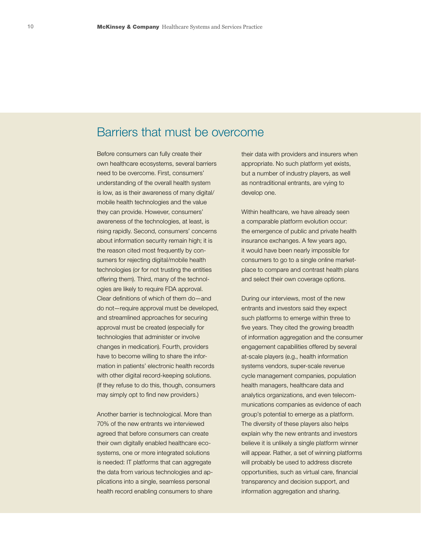# Barriers that must be overcome

Before consumers can fully create their own healthcare ecosystems, several barriers need to be overcome. First, consumers' understanding of the overall health system is low, as is their awareness of many digital/ mobile health technologies and the value they can provide. However, consumers' awareness of the technologies, at least, is rising rapidly. Second, consumers' concerns about information security remain high; it is the reason cited most frequently by consumers for rejecting digital/mobile health technologies (or for not trusting the entities offering them). Third, many of the technologies are likely to require FDA approval. Clear definitions of which of them do—and do not—require approval must be developed, and streamlined approaches for securing approval must be created (especially for technologies that administer or involve changes in medication). Fourth, providers have to become willing to share the information in patients' electronic health records with other digital record-keeping solutions. (If they refuse to do this, though, consumers may simply opt to find new providers.)

Another barrier is technological. More than 70% of the new entrants we interviewed agreed that before consumers can create their own digitally enabled healthcare ecosystems, one or more integrated solutions is needed: IT platforms that can aggregate the data from various technologies and applications into a single, seamless personal health record enabling consumers to share their data with providers and insurers when appropriate. No such platform yet exists, but a number of industry players, as well as nontraditional entrants, are vying to develop one.

Within healthcare, we have already seen a comparable platform evolution occur: the emergence of public and private health insurance exchanges. A few years ago, it would have been nearly impossible for consumers to go to a single online marketplace to compare and contrast health plans and select their own coverage options.

During our interviews, most of the new entrants and investors said they expect such platforms to emerge within three to five years. They cited the growing breadth of information aggregation and the consumer engagement capabilities offered by several at-scale players (e.g., health information systems vendors, super-scale revenue cycle management companies, population health managers, healthcare data and analytics organizations, and even telecommunications companies as evidence of each group's potential to emerge as a platform. The diversity of these players also helps explain why the new entrants and investors believe it is unlikely a single platform winner will appear. Rather, a set of winning platforms will probably be used to address discrete opportunities, such as virtual care, financial transparency and decision support, and information aggregation and sharing.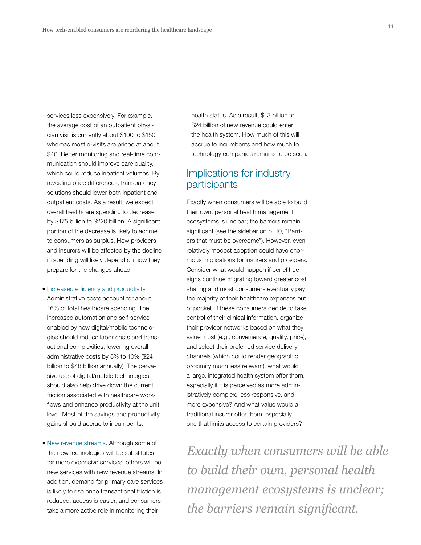services less expensively. For example, the average cost of an outpatient physician visit is currently about \$100 to \$150, whereas most e-visits are priced at about \$40. Better monitoring and real-time communication should improve care quality, which could reduce inpatient volumes. By revealing price differences, transparency solutions should lower both inpatient and outpatient costs. As a result, we expect overall healthcare spending to decrease by \$175 billion to \$220 billion. A significant portion of the decrease is likely to accrue to consumers as surplus. How providers and insurers will be affected by the decline in spending will likely depend on how they prepare for the changes ahead.

• Increased efficiency and productivity.

Administrative costs account for about 16% of total healthcare spending. The increased automation and self-service enabled by new digital/mobile technologies should reduce labor costs and transactional complexities, lowering overall administrative costs by 5% to 10% (\$24 billion to \$48 billion annually). The pervasive use of digital/mobile technologies should also help drive down the current friction associated with healthcare workflows and enhance productivity at the unit level. Most of the savings and productivity gains should accrue to incumbents.

• New revenue streams. Although some of the new technologies will be substitutes for more expensive services, others will be new services with new revenue streams. In addition, demand for primary care services is likely to rise once transactional friction is reduced, access is easier, and consumers take a more active role in monitoring their

health status. As a result, \$13 billion to \$24 billion of new revenue could enter the health system. How much of this will accrue to incumbents and how much to technology companies remains to be seen.

## Implications for industry participants

Exactly when consumers will be able to build their own, personal health management ecosystems is unclear; the barriers remain significant (see the sidebar on p. 10, "Barriers that must be overcome"). However, even relatively modest adoption could have enormous implications for insurers and providers. Consider what would happen if benefit designs continue migrating toward greater cost sharing and most consumers eventually pay the majority of their healthcare expenses out of pocket. If these consumers decide to take control of their clinical information, organize their provider networks based on what they value most (e.g., convenience, quality, price), and select their preferred service delivery channels (which could render geographic proximity much less relevant), what would a large, integrated health system offer them, especially if it is perceived as more administratively complex, less responsive, and more expensive? And what value would a traditional insurer offer them, especially one that limits access to certain providers?

*Exactly when consumers will be able to build their own, personal health management ecosystems is unclear; the barriers remain significant.*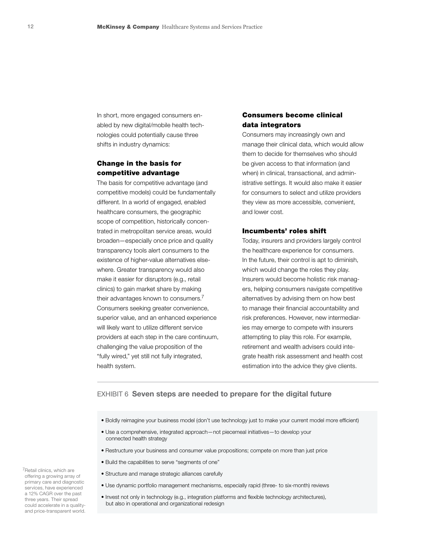In short, more engaged consumers enabled by new digital/mobile health technologies could potentially cause three shifts in industry dynamics:

#### Change in the basis for competitive advantage

The basis for competitive advantage (and competitive models) could be fundamentally different. In a world of engaged, enabled healthcare consumers, the geographic scope of competition, historically concentrated in metropolitan service areas, would broaden—especially once price and quality transparency tools alert consumers to the existence of higher-value alternatives elsewhere. Greater transparency would also make it easier for disruptors (e.g., retail clinics) to gain market share by making their advantages known to consumers.<sup>7</sup> Consumers seeking greater convenience, superior value, and an enhanced experience will likely want to utilize different service providers at each step in the care continuum, challenging the value proposition of the "fully wired," yet still not fully integrated, health system.

#### Consumers become clinical data integrators

Consumers may increasingly own and manage their clinical data, which would allow them to decide for themselves who should be given access to that information (and when) in clinical, transactional, and administrative settings. It would also make it easier for consumers to select and utilize providers they view as more accessible, convenient, and lower cost.

#### Incumbents' roles shift

Today, insurers and providers largely control the healthcare experience for consumers. In the future, their control is apt to diminish, which would change the roles they play. Insurers would become holistic risk managers, helping consumers navigate competitive alternatives by advising them on how best to manage their financial accountability and risk preferences. However, new intermediaries may emerge to compete with insurers attempting to play this role. For example, retirement and wealth advisers could integrate health risk assessment and health cost estimation into the advice they give clients.

#### EXHIBIT 6 Seven steps are needed to prepare for the digital future

- Boldly reimagine your business model (don't use technology just to make your current model more efficient)
- Use a comprehensive, integrated approach—not piecemeal initiatives—to develop your connected health strategy
- Restructure your business and consumer value propositions; compete on more than just price
- Build the capabilities to serve "segments of one"
- Structure and manage strategic alliances carefully
- Use dynamic portfolio management mechanisms, especially rapid (three- to six-month) reviews
- Invest not only in technology (e.g., integration platforms and flexible technology architectures), but also in operational and organizational redesign

7Retail clinics, which are offering a growing array of primary care and diagnostic services, have experienced a 12% CAGR over the past three years. Their spread could accelerate in a qualityand price-transparent world.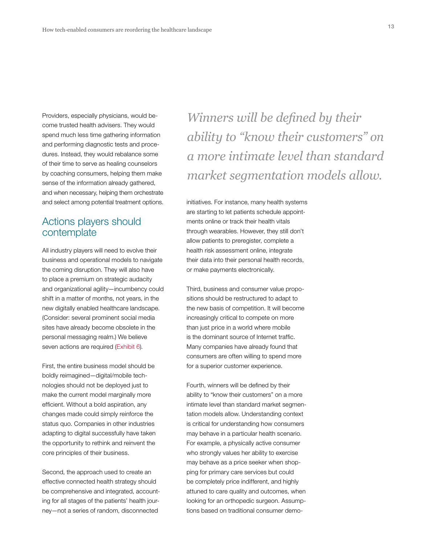Providers, especially physicians, would become trusted health advisers. They would spend much less time gathering information and performing diagnostic tests and procedures. Instead, they would rebalance some of their time to serve as healing counselors by coaching consumers, helping them make sense of the information already gathered, and when necessary, helping them orchestrate and select among potential treatment options.

# Actions players should contemplate

All industry players will need to evolve their business and operational models to navigate the coming disruption. They will also have to place a premium on strategic audacity and organizational agility—incumbency could shift in a matter of months, not years, in the new digitally enabled healthcare landscape. (Consider: several prominent social media sites have already become obsolete in the personal messaging realm.) We believe seven actions are required (Exhibit 6).

First, the entire business model should be boldly reimagined—digital/mobile technologies should not be deployed just to make the current model marginally more efficient. Without a bold aspiration, any changes made could simply reinforce the status quo. Companies in other industries adapting to digital successfully have taken the opportunity to rethink and reinvent the core principles of their business.

Second, the approach used to create an effective connected health strategy should be comprehensive and integrated, accounting for all stages of the patients' health journey—not a series of random, disconnected

*Winners will be defined by their ability to "know their customers" on a more intimate level than standard market segmentation models allow.*

initiatives. For instance, many health systems are starting to let patients schedule appointments online or track their health vitals through wearables. However, they still don't allow patients to preregister, complete a health risk assessment online, integrate their data into their personal health records, or make payments electronically.

Third, business and consumer value propositions should be restructured to adapt to the new basis of competition. It will become increasingly critical to compete on more than just price in a world where mobile is the dominant source of Internet traffic. Many companies have already found that consumers are often willing to spend more for a superior customer experience.

Fourth, winners will be defined by their ability to "know their customers" on a more intimate level than standard market segmentation models allow. Understanding context is critical for understanding how consumers may behave in a particular health scenario. For example, a physically active consumer who strongly values her ability to exercise may behave as a price seeker when shopping for primary care services but could be completely price indifferent, and highly attuned to care quality and outcomes, when looking for an orthopedic surgeon. Assumptions based on traditional consumer demo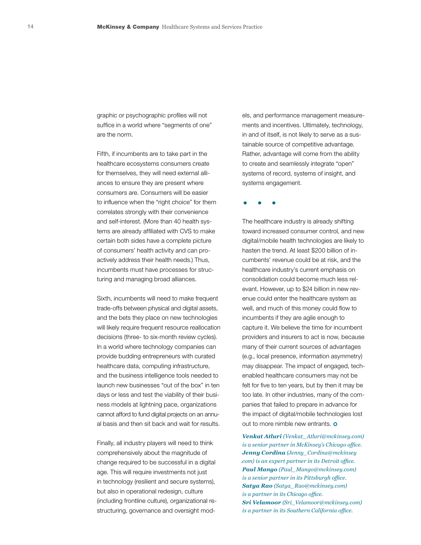graphic or psychographic profiles will not suffice in a world where "segments of one" are the norm.

Fifth, if incumbents are to take part in the healthcare ecosystems consumers create for themselves, they will need external alliances to ensure they are present where consumers are. Consumers will be easier to influence when the "right choice" for them correlates strongly with their convenience and self-interest. (More than 40 health systems are already affiliated with CVS to make certain both sides have a complete picture of consumers' health activity and can proactively address their health needs.) Thus, incumbents must have processes for structuring and managing broad alliances.

Sixth, incumbents will need to make frequent trade-offs between physical and digital assets, and the bets they place on new technologies will likely require frequent resource reallocation decisions (three- to six-month review cycles). In a world where technology companies can provide budding entrepreneurs with curated healthcare data, computing infrastructure, and the business intelligence tools needed to launch new businesses "out of the box" in ten days or less and test the viability of their business models at lightning pace, organizations cannot afford to fund digital projects on an annual basis and then sit back and wait for results.

Finally, all industry players will need to think comprehensively about the magnitude of change required to be successful in a digital age. This will require investments not just in technology (resilient and secure systems), but also in operational redesign, culture (including frontline culture), organizational restructuring, governance and oversight models, and performance management measurements and incentives. Ultimately, technology, in and of itself, is not likely to serve as a sustainable source of competitive advantage. Rather, advantage will come from the ability to create and seamlessly integrate "open" systems of record, systems of insight, and systems engagement.

. . .

The healthcare industry is already shifting toward increased consumer control, and new digital/mobile health technologies are likely to hasten the trend. At least \$200 billion of incumbents' revenue could be at risk, and the healthcare industry's current emphasis on consolidation could become much less relevant. However, up to \$24 billion in new revenue could enter the healthcare system as well, and much of this money could flow to incumbents if they are agile enough to capture it. We believe the time for incumbent providers and insurers to act is now, because many of their current sources of advantages (e.g., local presence, information asymmetry) may disappear. The impact of engaged, techenabled healthcare consumers may not be felt for five to ten years, but by then it may be too late. In other industries, many of the companies that failed to prepare in advance for the impact of digital/mobile technologies lost out to more nimble new entrants. o

*Venkat Atluri (Venkat\_Atluri@mckinsey.com) is a senior partner in McKinsey's Chicago office. Jenny Cordina (Jenny\_Cordina@mckinsey .com) is an expert partner in its Detroit office. Paul Mango (Paul\_Mango@mckinsey.com) is a senior partner in its Pittsburgh office. Satya Rao (Satya\_Rao@mckinsey.com) is a partner in its Chicago office. Sri Velamoor (Sri\_Velamoor@mckinsey.com) is a partner in its Southern California office.*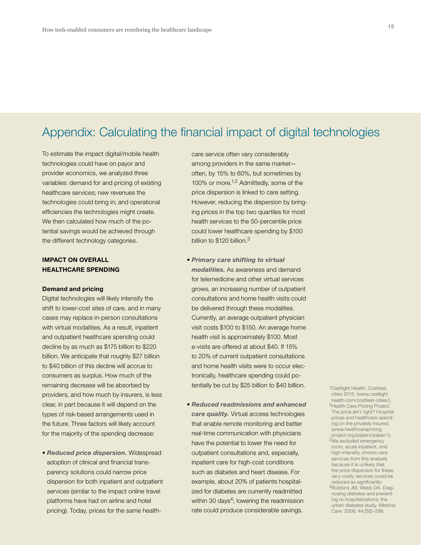# Appendix: Calculating the financial impact of digital technologies

To estimate the impact digital/mobile health technologies could have on payor and provider economics, we analyzed three variables: demand for and pricing of existing healthcare services; new revenues the technologies could bring in; and operational efficiencies the technologies might create. We then calculated how much of the potential savings would be achieved through the different technology categories.

#### IMPACT ON OVERALL HEALTHCARE SPENDING

#### Demand and pricing

Digital technologies will likely intensify the shift to lower-cost sites of care, and in many cases may replace in-person consultations with virtual modalities. As a result, inpatient and outpatient healthcare spending could decline by as much as \$175 billion to \$220 billion. We anticipate that roughly \$27 billion to \$40 billion of this decline will accrue to consumers as surplus. How much of the remaining decrease will be absorbed by providers, and how much by insurers, is less clear, in part because it will depend on the types of risk-based arrangements used in the future. Three factors will likely account for the majority of the spending decrease:

• *Reduced price dispersion.* Widespread adoption of clinical and financial transparency solutions could narrow price dispersion for both inpatient and outpatient services (similar to the impact online travel platforms have had on airline and hotel pricing). Today, prices for the same health-

care service often vary considerably among providers in the same market often, by 15% to 60%, but sometimes by 100% or more.1,2 Admittedly, some of the price dispersion is linked to care setting. However, reducing the dispersion by bringing prices in the top two quartiles for most health services to the 50-percentile price could lower healthcare spending by \$100 billion to \$120 billion.<sup>3</sup>

- *Primary care shifting to virtual modalities.* As awareness and demand for telemedicine and other virtual services grows, an increasing number of outpatient consultations and home health visits could be delivered through these modalities. Currently, an average outpatient physician visit costs \$100 to \$150. An average home health visit is approximately \$100. Most e-visits are offered at about \$40. If 15% to 20% of current outpatient consultations and home health visits were to occur electronically, healthcare spending could potentially be cut by \$25 billion to \$40 billion.
- *Reduced readmissions and enhanced care quality.* Virtual access technologies that enable remote monitoring and better real-time communication with physicians have the potential to lower the need for outpatient consultations and, especially, inpatient care for high-cost conditions such as diabetes and heart disease. For example, about 20% of patients hospitalized for diabetes are currently readmitted within 30 days<sup>4</sup>; lowering the readmission rate could produce considerable savings.

1Castlight Health. Costliest cities 2015. (www.castlight health.com/costliest-cities/). 2Health Care Pricing Project. The price ain't right? Hospital prices and healthcare spending on the privately insured. (www.healthcarepricing project.org/papers/paper-1). 3We excluded emergency room, acute inpatient, and high-intensity chronic care services from this analysis because it is unlikely that the price dispersion for these very costly services could be reduced as significantly. 4Robbins JM, Webb DA. Diagnosing diabetes and preventing re-hospitalizations: the urban diabetes study. *Medical Care*. 2006; 44:292–296.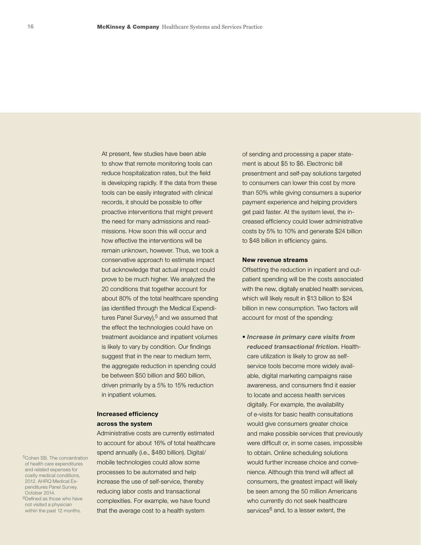At present, few studies have been able to show that remote monitoring tools can reduce hospitalization rates, but the field is developing rapidly. If the data from these tools can be easily integrated with clinical records, it should be possible to offer proactive interventions that might prevent the need for many admissions and readmissions. How soon this will occur and how effective the interventions will be remain unknown, however. Thus, we took a conservative approach to estimate impact but acknowledge that actual impact could prove to be much higher. We analyzed the 20 conditions that together account for about 80% of the total healthcare spending (as identified through the Medical Expenditures Panel Survey), $5$  and we assumed that the effect the technologies could have on treatment avoidance and inpatient volumes is likely to vary by condition. Our findings suggest that in the near to medium term, the aggregate reduction in spending could be between \$50 billion and \$60 billion, driven primarily by a 5% to 15% reduction in inpatient volumes.

#### Increased efficiency across the system

Administrative costs are currently estimated to account for about 16% of total healthcare spend annually (i.e., \$480 billion). Digital/ mobile technologies could allow some processes to be automated and help increase the use of self-service, thereby reducing labor costs and transactional complexities. For example, we have found that the average cost to a health system

of sending and processing a paper statement is about \$5 to \$6. Electronic bill presentment and self-pay solutions targeted to consumers can lower this cost by more than 50% while giving consumers a superior payment experience and helping providers get paid faster. At the system level, the increased efficiency could lower administrative costs by 5% to 10% and generate \$24 billion to \$48 billion in efficiency gains.

#### New revenue streams

Offsetting the reduction in inpatient and outpatient spending will be the costs associated with the new, digitally enabled health services, which will likely result in \$13 billion to \$24 billion in new consumption. Two factors will account for most of the spending:

• *Increase in primary care visits from reduced transactional friction.* Healthcare utilization is likely to grow as selfservice tools become more widely available, digital marketing campaigns raise awareness, and consumers find it easier to locate and access health services digitally. For example, the availability of e-visits for basic health consultations would give consumers greater choice and make possible services that previously were difficult or, in some cases, impossible to obtain. Online scheduling solutions would further increase choice and convenience. Although this trend will affect all consumers, the greatest impact will likely be seen among the 50 million Americans who currently do not seek healthcare services<sup>6</sup> and, to a lesser extent, the

5Cohen SB. The concentration of health care expenditures and related expenses for costly medical conditions, 2012. AHRQ Medical Expenditures Panel Survey. October 2014. 6Defined as those who have not visited a physician

within the past 12 months.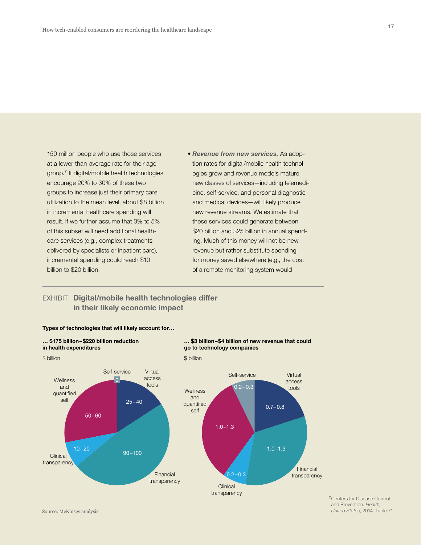150 million people who use those services at a lower-than-average rate for their age group.7 If digital/mobile health technologies encourage 20% to 30% of these two groups to increase just their primary care utilization to the mean level, about \$8 billion in incremental healthcare spending will result. If we further assume that 3% to 5% of this subset will need additional healthcare services (e.g., complex treatments delivered by specialists or inpatient care), incremental spending could reach \$10 billion to \$20 billion.

• *Revenue from new services.* As adoption rates for digital/mobile health technologies grow and revenue models mature, new classes of services—including telemedicine, self-service, and personal diagnostic and medical devices—will likely produce new revenue streams. We estimate that these services could generate between \$20 billion and \$25 billion in annual spending. Much of this money will not be new revenue but rather substitute spending for money saved elsewhere (e.g., the cost of a remote monitoring system would

#### EXHIBIT Digital/mobile health technologies differ in their likely economic impact



Types of technologies that will likely account for…

7Centers for Disease Control and Prevention. *Health, United States*, 2014. Table 71.

#### Source: McKinsey analysis